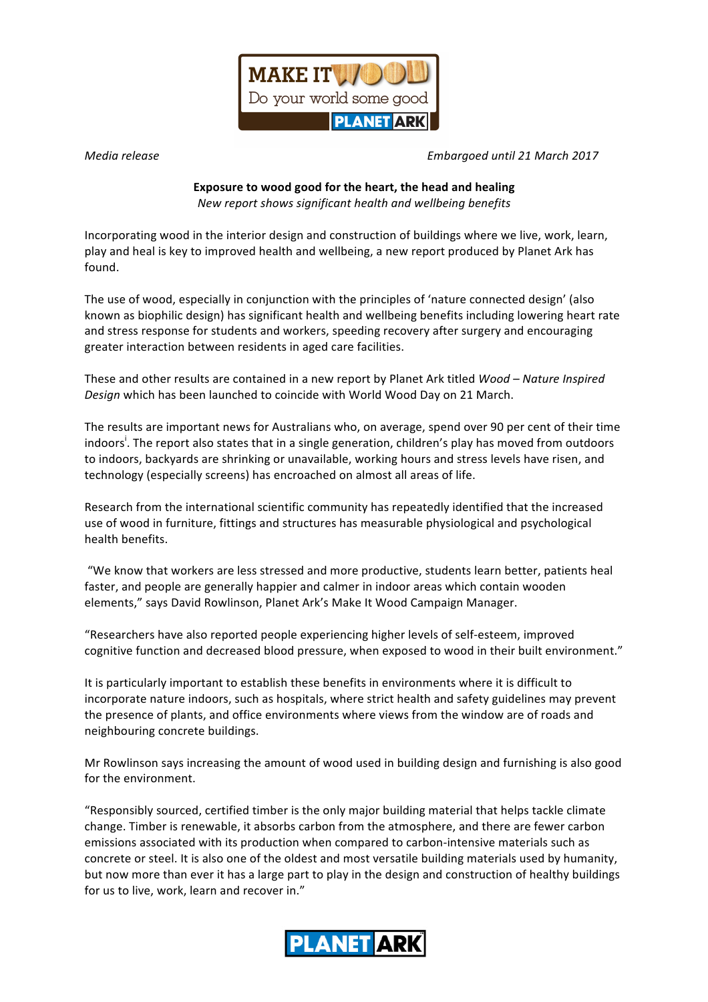

*Media release Embargoed until 21 March 2017*

## **Exposure to wood good for the heart, the head and healing**

*New report shows significant health and wellbeing benefits*

Incorporating wood in the interior design and construction of buildings where we live, work, learn, play and heal is key to improved health and wellbeing, a new report produced by Planet Ark has found. 

The use of wood, especially in conjunction with the principles of 'nature connected design' (also known as biophilic design) has significant health and wellbeing benefits including lowering heart rate and stress response for students and workers, speeding recovery after surgery and encouraging greater interaction between residents in aged care facilities.

These and other results are contained in a new report by Planet Ark titled *Wood* – *Nature Inspired* Design which has been launched to coincide with World Wood Day on 21 March.

The results are important news for Australians who, on average, spend over 90 per cent of their time indoors<sup>i</sup>. The report also states that in a single generation, children's play has moved from outdoors to indoors, backyards are shrinking or unavailable, working hours and stress levels have risen, and technology (especially screens) has encroached on almost all areas of life.

Research from the international scientific community has repeatedly identified that the increased use of wood in furniture, fittings and structures has measurable physiological and psychological health benefits. 

"We know that workers are less stressed and more productive, students learn better, patients heal faster, and people are generally happier and calmer in indoor areas which contain wooden elements," says David Rowlinson, Planet Ark's Make It Wood Campaign Manager.

"Researchers have also reported people experiencing higher levels of self-esteem, improved cognitive function and decreased blood pressure, when exposed to wood in their built environment."

It is particularly important to establish these benefits in environments where it is difficult to incorporate nature indoors, such as hospitals, where strict health and safety guidelines may prevent the presence of plants, and office environments where views from the window are of roads and neighbouring concrete buildings.

Mr Rowlinson says increasing the amount of wood used in building design and furnishing is also good for the environment.

"Responsibly sourced, certified timber is the only major building material that helps tackle climate change. Timber is renewable, it absorbs carbon from the atmosphere, and there are fewer carbon emissions associated with its production when compared to carbon-intensive materials such as concrete or steel. It is also one of the oldest and most versatile building materials used by humanity, but now more than ever it has a large part to play in the design and construction of healthy buildings for us to live, work, learn and recover in."